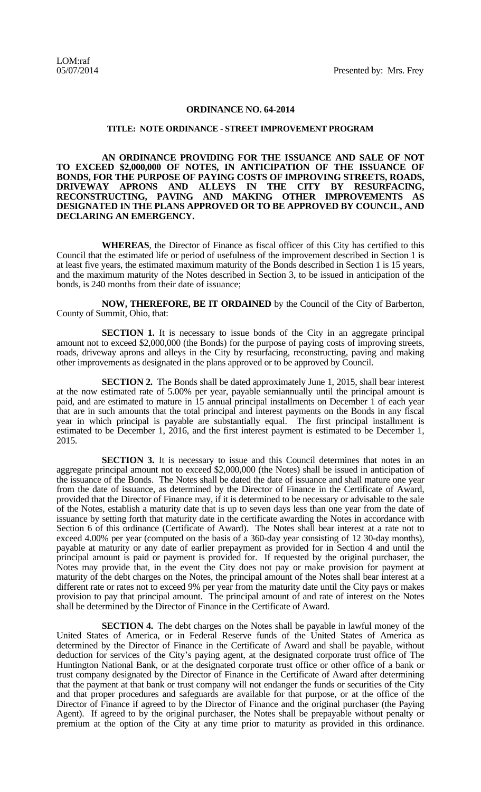## **ORDINANCE NO. 64-2014**

## **TITLE: NOTE ORDINANCE - STREET IMPROVEMENT PROGRAM**

**AN ORDINANCE PROVIDING FOR THE ISSUANCE AND SALE OF NOT TO EXCEED \$2,000,000 OF NOTES, IN ANTICIPATION OF THE ISSUANCE OF BONDS, FOR THE PURPOSE OF PAYING COSTS OF IMPROVING STREETS, ROADS, DRIVEWAY APRONS AND ALLEYS IN THE CITY BY RESURFACING, RECONSTRUCTING, PAVING AND MAKING OTHER IMPROVEMENTS AS DESIGNATED IN THE PLANS APPROVED OR TO BE APPROVED BY COUNCIL, AND DECLARING AN EMERGENCY.**

**WHEREAS**, the Director of Finance as fiscal officer of this City has certified to this Council that the estimated life or period of usefulness of the improvement described in Section 1 is at least five years, the estimated maximum maturity of the Bonds described in Section 1 is 15 years, and the maximum maturity of the Notes described in Section 3, to be issued in anticipation of the bonds, is 240 months from their date of issuance;

**NOW, THEREFORE, BE IT ORDAINED** by the Council of the City of Barberton, County of Summit, Ohio, that:

**SECTION 1.** It is necessary to issue bonds of the City in an aggregate principal amount not to exceed \$2,000,000 (the Bonds) for the purpose of paying costs of improving streets, roads, driveway aprons and alleys in the City by resurfacing, reconstructing, paving and making other improvements as designated in the plans approved or to be approved by Council.

**SECTION 2.** The Bonds shall be dated approximately June 1, 2015, shall bear interest at the now estimated rate of 5.00% per year, payable semiannually until the principal amount is paid, and are estimated to mature in 15 annual principal installments on December 1 of each year that are in such amounts that the total principal and interest payments on the Bonds in any fiscal year in which principal is payable are substantially equal. The first principal installment is estimated to be December 1, 2016, and the first interest payment is estimated to be December 1, 2015.

**SECTION 3.** It is necessary to issue and this Council determines that notes in an aggregate principal amount not to exceed \$2,000,000 (the Notes) shall be issued in anticipation of the issuance of the Bonds. The Notes shall be dated the date of issuance and shall mature one year from the date of issuance, as determined by the Director of Finance in the Certificate of Award, provided that the Director of Finance may, if it is determined to be necessary or advisable to the sale of the Notes, establish a maturity date that is up to seven days less than one year from the date of issuance by setting forth that maturity date in the certificate awarding the Notes in accordance with Section 6 of this ordinance (Certificate of Award). The Notes shall bear interest at a rate not to exceed 4.00% per year (computed on the basis of a 360-day year consisting of 12 30-day months), payable at maturity or any date of earlier prepayment as provided for in Section 4 and until the principal amount is paid or payment is provided for. If requested by the original purchaser, the Notes may provide that, in the event the City does not pay or make provision for payment at maturity of the debt charges on the Notes, the principal amount of the Notes shall bear interest at a different rate or rates not to exceed 9% per year from the maturity date until the City pays or makes provision to pay that principal amount. The principal amount of and rate of interest on the Notes shall be determined by the Director of Finance in the Certificate of Award.

**SECTION 4.** The debt charges on the Notes shall be payable in lawful money of the United States of America, or in Federal Reserve funds of the United States of America as determined by the Director of Finance in the Certificate of Award and shall be payable, without deduction for services of the City's paying agent, at the designated corporate trust office of The Huntington National Bank, or at the designated corporate trust office or other office of a bank or trust company designated by the Director of Finance in the Certificate of Award after determining that the payment at that bank or trust company will not endanger the funds or securities of the City and that proper procedures and safeguards are available for that purpose, or at the office of the Director of Finance if agreed to by the Director of Finance and the original purchaser (the Paying Agent). If agreed to by the original purchaser, the Notes shall be prepayable without penalty or premium at the option of the City at any time prior to maturity as provided in this ordinance.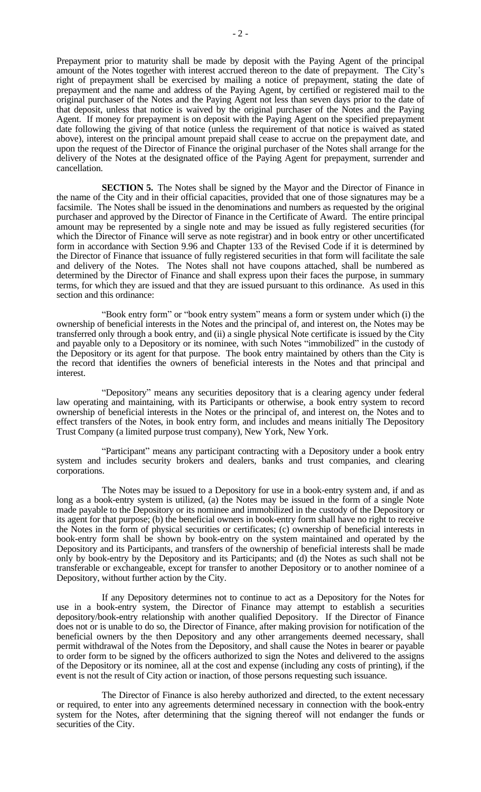Prepayment prior to maturity shall be made by deposit with the Paying Agent of the principal amount of the Notes together with interest accrued thereon to the date of prepayment. The City's right of prepayment shall be exercised by mailing a notice of prepayment, stating the date of prepayment and the name and address of the Paying Agent, by certified or registered mail to the original purchaser of the Notes and the Paying Agent not less than seven days prior to the date of that deposit, unless that notice is waived by the original purchaser of the Notes and the Paying Agent. If money for prepayment is on deposit with the Paying Agent on the specified prepayment date following the giving of that notice (unless the requirement of that notice is waived as stated above), interest on the principal amount prepaid shall cease to accrue on the prepayment date, and upon the request of the Director of Finance the original purchaser of the Notes shall arrange for the delivery of the Notes at the designated office of the Paying Agent for prepayment, surrender and cancellation.

**SECTION 5.** The Notes shall be signed by the Mayor and the Director of Finance in the name of the City and in their official capacities, provided that one of those signatures may be a facsimile. The Notes shall be issued in the denominations and numbers as requested by the original purchaser and approved by the Director of Finance in the Certificate of Award. The entire principal amount may be represented by a single note and may be issued as fully registered securities (for which the Director of Finance will serve as note registrar) and in book entry or other uncertificated form in accordance with Section 9.96 and Chapter 133 of the Revised Code if it is determined by the Director of Finance that issuance of fully registered securities in that form will facilitate the sale and delivery of the Notes. The Notes shall not have coupons attached, shall be numbered as determined by the Director of Finance and shall express upon their faces the purpose, in summary terms, for which they are issued and that they are issued pursuant to this ordinance. As used in this section and this ordinance:

"Book entry form" or "book entry system" means a form or system under which (i) the ownership of beneficial interests in the Notes and the principal of, and interest on, the Notes may be transferred only through a book entry, and (ii) a single physical Note certificate is issued by the City and payable only to a Depository or its nominee, with such Notes "immobilized" in the custody of the Depository or its agent for that purpose. The book entry maintained by others than the City is the record that identifies the owners of beneficial interests in the Notes and that principal and interest.

"Depository" means any securities depository that is a clearing agency under federal law operating and maintaining, with its Participants or otherwise, a book entry system to record ownership of beneficial interests in the Notes or the principal of, and interest on, the Notes and to effect transfers of the Notes, in book entry form, and includes and means initially The Depository Trust Company (a limited purpose trust company), New York, New York.

"Participant" means any participant contracting with a Depository under a book entry system and includes security brokers and dealers, banks and trust companies, and clearing corporations.

The Notes may be issued to a Depository for use in a book-entry system and, if and as long as a book-entry system is utilized, (a) the Notes may be issued in the form of a single Note made payable to the Depository or its nominee and immobilized in the custody of the Depository or its agent for that purpose; (b) the beneficial owners in book-entry form shall have no right to receive the Notes in the form of physical securities or certificates; (c) ownership of beneficial interests in book-entry form shall be shown by book-entry on the system maintained and operated by the Depository and its Participants, and transfers of the ownership of beneficial interests shall be made only by book-entry by the Depository and its Participants; and (d) the Notes as such shall not be transferable or exchangeable, except for transfer to another Depository or to another nominee of a Depository, without further action by the City.

If any Depository determines not to continue to act as a Depository for the Notes for use in a book-entry system, the Director of Finance may attempt to establish a securities depository/book-entry relationship with another qualified Depository. If the Director of Finance does not or is unable to do so, the Director of Finance, after making provision for notification of the beneficial owners by the then Depository and any other arrangements deemed necessary, shall permit withdrawal of the Notes from the Depository, and shall cause the Notes in bearer or payable to order form to be signed by the officers authorized to sign the Notes and delivered to the assigns of the Depository or its nominee, all at the cost and expense (including any costs of printing), if the event is not the result of City action or inaction, of those persons requesting such issuance.

The Director of Finance is also hereby authorized and directed, to the extent necessary or required, to enter into any agreements determined necessary in connection with the book-entry system for the Notes, after determining that the signing thereof will not endanger the funds or securities of the City.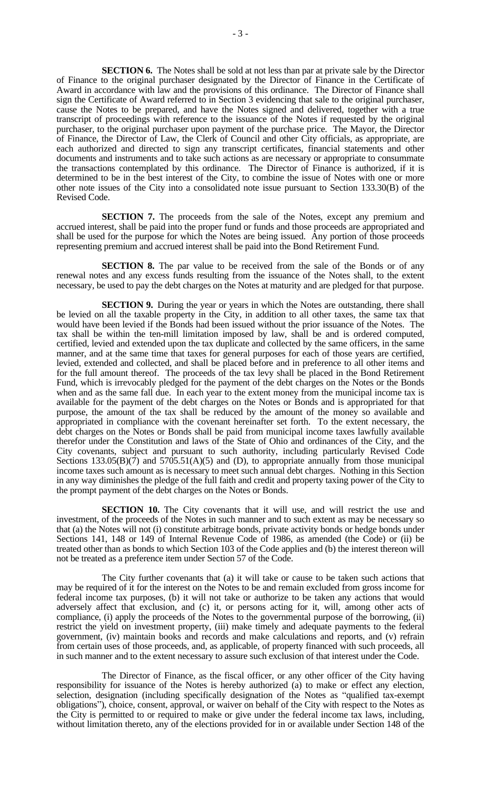**SECTION 6.** The Notes shall be sold at not less than par at private sale by the Director of Finance to the original purchaser designated by the Director of Finance in the Certificate of Award in accordance with law and the provisions of this ordinance. The Director of Finance shall sign the Certificate of Award referred to in Section 3 evidencing that sale to the original purchaser, cause the Notes to be prepared, and have the Notes signed and delivered, together with a true transcript of proceedings with reference to the issuance of the Notes if requested by the original purchaser, to the original purchaser upon payment of the purchase price. The Mayor, the Director of Finance, the Director of Law, the Clerk of Council and other City officials, as appropriate, are each authorized and directed to sign any transcript certificates, financial statements and other documents and instruments and to take such actions as are necessary or appropriate to consummate the transactions contemplated by this ordinance. The Director of Finance is authorized, if it is determined to be in the best interest of the City, to combine the issue of Notes with one or more other note issues of the City into a consolidated note issue pursuant to Section 133.30(B) of the Revised Code.

**SECTION 7.** The proceeds from the sale of the Notes, except any premium and accrued interest, shall be paid into the proper fund or funds and those proceeds are appropriated and shall be used for the purpose for which the Notes are being issued. Any portion of those proceeds representing premium and accrued interest shall be paid into the Bond Retirement Fund.

**SECTION 8.** The par value to be received from the sale of the Bonds or of any renewal notes and any excess funds resulting from the issuance of the Notes shall, to the extent necessary, be used to pay the debt charges on the Notes at maturity and are pledged for that purpose.

**SECTION 9.** During the year or years in which the Notes are outstanding, there shall be levied on all the taxable property in the City, in addition to all other taxes, the same tax that would have been levied if the Bonds had been issued without the prior issuance of the Notes. The tax shall be within the ten-mill limitation imposed by law, shall be and is ordered computed, certified, levied and extended upon the tax duplicate and collected by the same officers, in the same manner, and at the same time that taxes for general purposes for each of those years are certified, levied, extended and collected, and shall be placed before and in preference to all other items and for the full amount thereof. The proceeds of the tax levy shall be placed in the Bond Retirement Fund, which is irrevocably pledged for the payment of the debt charges on the Notes or the Bonds when and as the same fall due. In each year to the extent money from the municipal income tax is available for the payment of the debt charges on the Notes or Bonds and is appropriated for that purpose, the amount of the tax shall be reduced by the amount of the money so available and appropriated in compliance with the covenant hereinafter set forth. To the extent necessary, the debt charges on the Notes or Bonds shall be paid from municipal income taxes lawfully available therefor under the Constitution and laws of the State of Ohio and ordinances of the City, and the City covenants, subject and pursuant to such authority, including particularly Revised Code Sections  $133.05(B)(7)$  and  $5705.51(A)(5)$  and (D), to appropriate annually from those municipal income taxes such amount as is necessary to meet such annual debt charges. Nothing in this Section in any way diminishes the pledge of the full faith and credit and property taxing power of the City to the prompt payment of the debt charges on the Notes or Bonds.

**SECTION 10.** The City covenants that it will use, and will restrict the use and investment, of the proceeds of the Notes in such manner and to such extent as may be necessary so that (a) the Notes will not (i) constitute arbitrage bonds, private activity bonds or hedge bonds under Sections 141, 148 or 149 of Internal Revenue Code of 1986, as amended (the Code) or (ii) be treated other than as bonds to which Section 103 of the Code applies and (b) the interest thereon will not be treated as a preference item under Section 57 of the Code.

The City further covenants that (a) it will take or cause to be taken such actions that may be required of it for the interest on the Notes to be and remain excluded from gross income for federal income tax purposes, (b) it will not take or authorize to be taken any actions that would adversely affect that exclusion, and (c) it, or persons acting for it, will, among other acts of compliance, (i) apply the proceeds of the Notes to the governmental purpose of the borrowing, (ii) restrict the yield on investment property, (iii) make timely and adequate payments to the federal government, (iv) maintain books and records and make calculations and reports, and (v) refrain from certain uses of those proceeds, and, as applicable, of property financed with such proceeds, all in such manner and to the extent necessary to assure such exclusion of that interest under the Code.

The Director of Finance, as the fiscal officer, or any other officer of the City having responsibility for issuance of the Notes is hereby authorized (a) to make or effect any election, selection, designation (including specifically designation of the Notes as "qualified tax-exempt obligations"), choice, consent, approval, or waiver on behalf of the City with respect to the Notes as the City is permitted to or required to make or give under the federal income tax laws, including, without limitation thereto, any of the elections provided for in or available under Section 148 of the